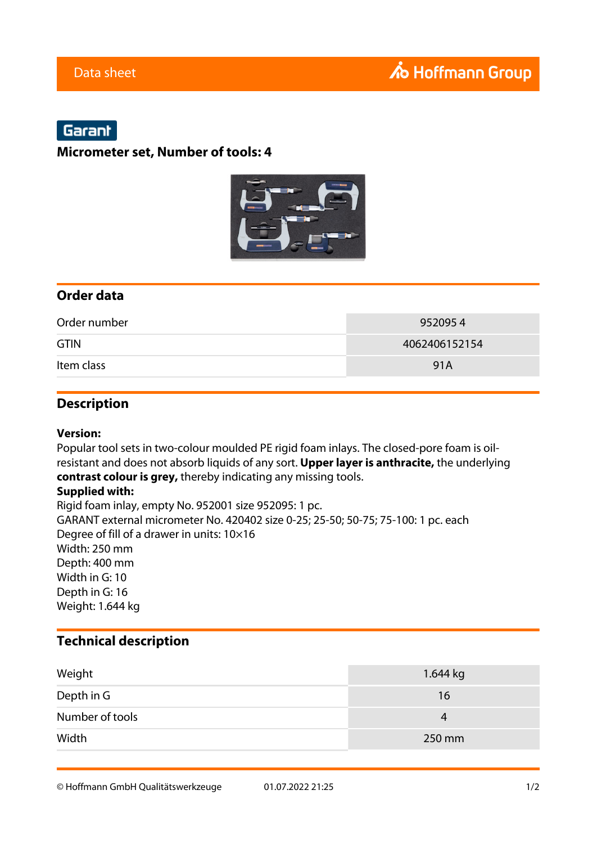# Garant

### **Micrometer set, Number of tools: 4**



### **Order data**

| Order number | 9520954       |
|--------------|---------------|
| <b>GTIN</b>  | 4062406152154 |
| Item class   | 91A           |

## **Description**

#### **Version:**

Popular tool sets in two-colour moulded PE rigid foam inlays. The closed-pore foam is oilresistant and does not absorb liquids of any sort. **Upper layer is anthracite,** the underlying **contrast colour is grey,** thereby indicating any missing tools.

### **Supplied with:**

Rigid foam inlay, empty No. 952001 size 952095: 1 pc. GARANT external micrometer No. 420402 size 0-25; 25-50; 50-75; 75-100: 1 pc. each Degree of fill of a drawer in units: 10×16 Width: 250 mm Depth: 400 mm Width in G: 10 Depth in G: 16 Weight: 1.644 kg

## **Technical description**

| Weight          | 1.644 kg |
|-----------------|----------|
| Depth in G      | 16       |
| Number of tools | 4        |
| Width           | 250 mm   |